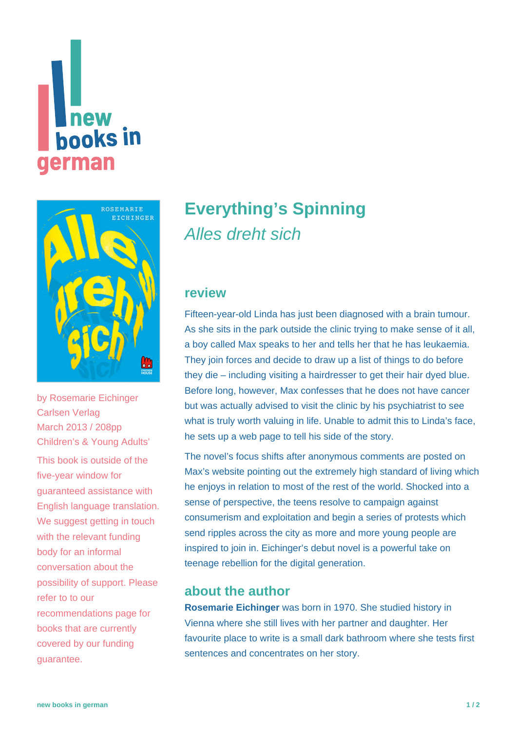# **Thew<br>books in** german



by [Rosemarie Eichinger](https://www.new-books-in-german.com/recommendations/?searchInput=Rosemarie%20Eichinger) Carlsen Verlag March 2013 / 208pp Children's & Young Adults' This book is outside of the five-year window for guaranteed assistance with English language translation. We suggest getting in touch with the relevant funding body for an informal conversation about the possibility of support. Please refer to to our [recommendations page](https://www.new-books-in-german.com/recommendations) for books that are currently covered by our funding guarantee.

## **[Everything's Spinning](https://www.new-books-in-german.com/recommendations/everythings-spinning/)** Alles dreht sich

#### **review**

Fifteen-year-old Linda has just been diagnosed with a brain tumour. As she sits in the park outside the clinic trying to make sense of it all, a boy called Max speaks to her and tells her that he has leukaemia. They join forces and decide to draw up a list of things to do before they die – including visiting a hairdresser to get their hair dyed blue. Before long, however, Max confesses that he does not have cancer but was actually advised to visit the clinic by his psychiatrist to see what is truly worth valuing in life. Unable to admit this to Linda's face, he sets up a web page to tell his side of the story.

The novel's focus shifts after anonymous comments are posted on Max's website pointing out the extremely high standard of living which he enjoys in relation to most of the rest of the world. Shocked into a sense of perspective, the teens resolve to campaign against consumerism and exploitation and begin a series of protests which send ripples across the city as more and more young people are inspired to join in. Eichinger's debut novel is a powerful take on teenage rebellion for the digital generation.

#### **about the author**

**Rosemarie Eichinger** was born in 1970. She studied history in Vienna where she still lives with her partner and daughter. Her favourite place to write is a small dark bathroom where she tests first sentences and concentrates on her story.